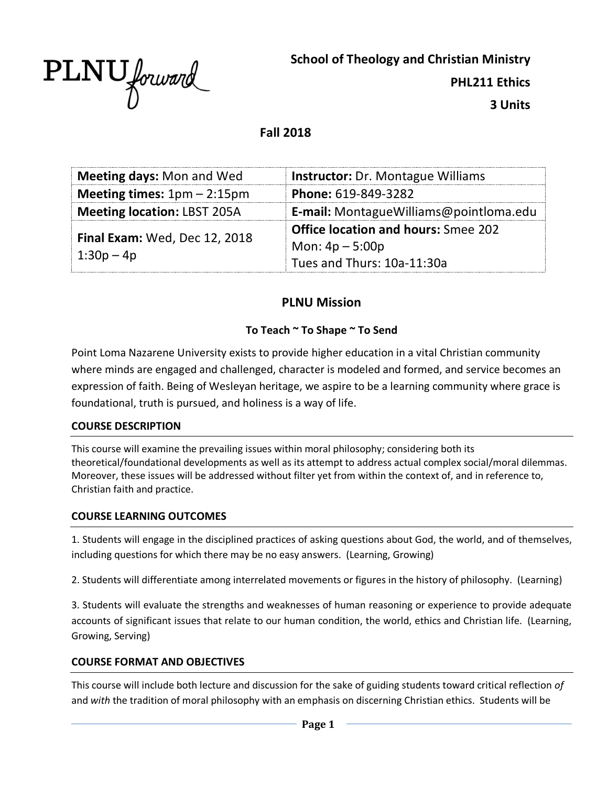

**School of Theology and Christian Ministry**

**PHL211 Ethics**

**3 Units**

## **Fall 2018**

| <b>Meeting days: Mon and Wed</b><br><b>Instructor:</b> Dr. Montague Williams |                                            |  |
|------------------------------------------------------------------------------|--------------------------------------------|--|
| Meeting times: $1pm - 2:15pm$                                                | Phone: 619-849-3282                        |  |
| <b>Meeting location: LBST 205A</b>                                           | E-mail: Montague Williams@pointloma.edu    |  |
| Final Exam: Wed, Dec 12, 2018<br>$1:30p - 4p$                                | <b>Office location and hours:</b> Smee 202 |  |
|                                                                              | Mon: $4p - 5:00p$                          |  |
|                                                                              | Tues and Thurs: 10a-11:30a                 |  |

# **PLNU Mission**

### **To Teach ~ To Shape ~ To Send**

Point Loma Nazarene University exists to provide higher education in a vital Christian community where minds are engaged and challenged, character is modeled and formed, and service becomes an expression of faith. Being of Wesleyan heritage, we aspire to be a learning community where grace is foundational, truth is pursued, and holiness is a way of life.

#### **COURSE DESCRIPTION**

This course will examine the prevailing issues within moral philosophy; considering both its theoretical/foundational developments as well as its attempt to address actual complex social/moral dilemmas. Moreover, these issues will be addressed without filter yet from within the context of, and in reference to, Christian faith and practice.

#### **COURSE LEARNING OUTCOMES**

1. Students will engage in the disciplined practices of asking questions about God, the world, and of themselves, including questions for which there may be no easy answers. (Learning, Growing)

2. Students will differentiate among interrelated movements or figures in the history of philosophy. (Learning)

3. Students will evaluate the strengths and weaknesses of human reasoning or experience to provide adequate accounts of significant issues that relate to our human condition, the world, ethics and Christian life. (Learning, Growing, Serving)

#### **COURSE FORMAT AND OBJECTIVES**

This course will include both lecture and discussion for the sake of guiding students toward critical reflection *of*  and *with* the tradition of moral philosophy with an emphasis on discerning Christian ethics. Students will be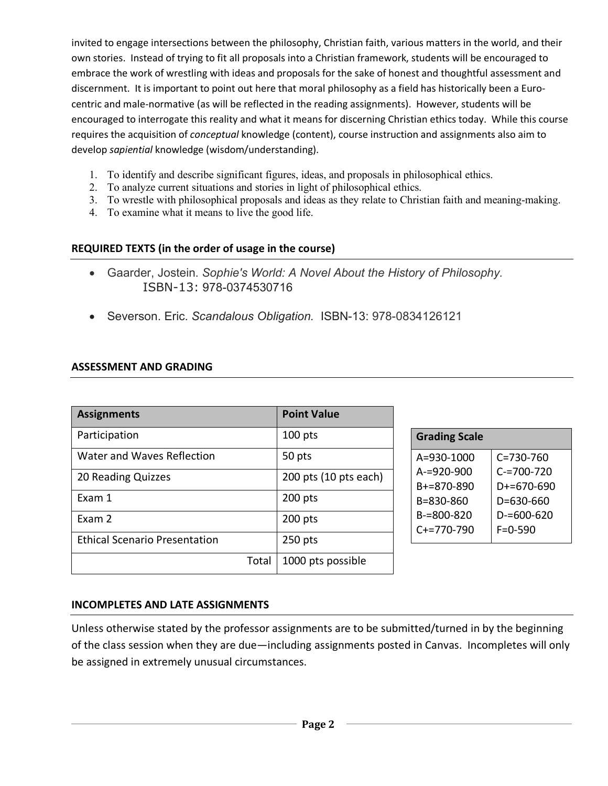invited to engage intersections between the philosophy, Christian faith, various matters in the world, and their own stories. Instead of trying to fit all proposals into a Christian framework, students will be encouraged to embrace the work of wrestling with ideas and proposals for the sake of honest and thoughtful assessment and discernment. It is important to point out here that moral philosophy as a field has historically been a Eurocentric and male-normative (as will be reflected in the reading assignments). However, students will be encouraged to interrogate this reality and what it means for discerning Christian ethics today. While this course requires the acquisition of *conceptual* knowledge (content), course instruction and assignments also aim to develop *sapiential* knowledge (wisdom/understanding).

- 1. To identify and describe significant figures, ideas, and proposals in philosophical ethics.
- 2. To analyze current situations and stories in light of philosophical ethics.
- 3. To wrestle with philosophical proposals and ideas as they relate to Christian faith and meaning-making.
- 4. To examine what it means to live the good life.

# **REQUIRED TEXTS (in the order of usage in the course)**

- Gaarder, Jostein. *Sophie's World: A Novel About the History of Philosophy.* ISBN-13: 978-0374530716
- Severson. Eric. *Scandalous Obligation.* ISBN-13: 978-0834126121

### **ASSESSMENT AND GRADING**

| <b>Assignments</b>                   | <b>Point Value</b>    |                      |
|--------------------------------------|-----------------------|----------------------|
| Participation                        | 100 pts               | Grac                 |
| Water and Waves Reflection           | 50 pts                | $A=93$               |
| 20 Reading Quizzes                   | 200 pts (10 pts each) | $A = 9$<br>$B+=8$    |
| Exam 1                               | 200 pts               | $B=83$               |
| Exam 2                               | 200 pts               | $B = 8$<br>$C + = 7$ |
| <b>Ethical Scenario Presentation</b> | $250$ pts             |                      |
| Total                                | 1000 pts possible     |                      |

| <b>Grading Scale</b> |                 |  |  |  |
|----------------------|-----------------|--|--|--|
| $A = 930 - 1000$     | $C = 730 - 760$ |  |  |  |
| $A = 920 - 900$      | $C = 700 - 720$ |  |  |  |
| $B+=870-890$         | D+=670-690      |  |  |  |
| B=830-860            | D=630-660       |  |  |  |
| B-=800-820           | $D=600-620$     |  |  |  |
| $C+=770-790$         | $F = 0 - 590$   |  |  |  |

### **INCOMPLETES AND LATE ASSIGNMENTS**

Unless otherwise stated by the professor assignments are to be submitted/turned in by the beginning of the class session when they are due—including assignments posted in Canvas. Incompletes will only be assigned in extremely unusual circumstances.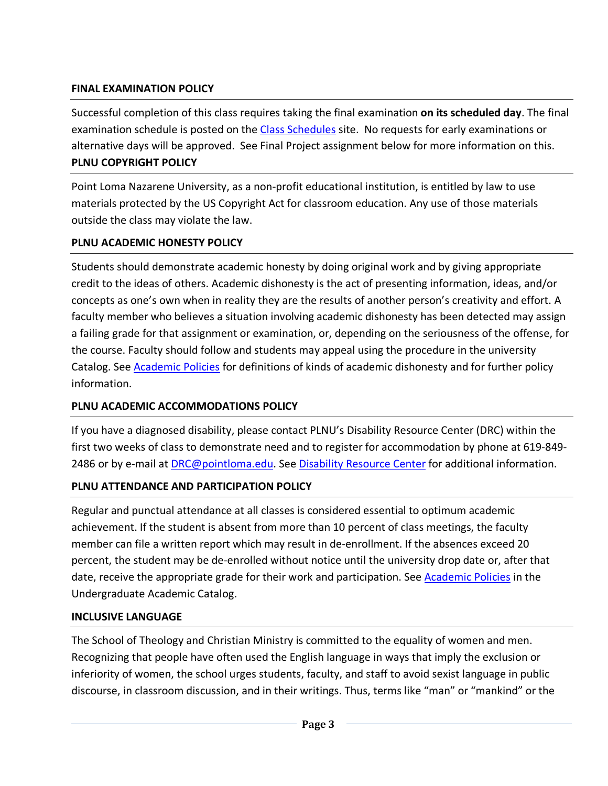## **FINAL EXAMINATION POLICY**

Successful completion of this class requires taking the final examination **on its scheduled day**. The final examination schedule is posted on the Class Schedules site. No requests for early examinations or alternative days will be approved. See Final Project assignment below for more information on this. **PLNU COPYRIGHT POLICY**

Point Loma Nazarene University, as a non-profit educational institution, is entitled by law to use materials protected by the US Copyright Act for classroom education. Any use of those materials outside the class may violate the law.

# **PLNU ACADEMIC HONESTY POLICY**

Students should demonstrate academic honesty by doing original work and by giving appropriate credit to the ideas of others. Academic dishonesty is the act of presenting information, ideas, and/or concepts as one's own when in reality they are the results of another person's creativity and effort. A faculty member who believes a situation involving academic dishonesty has been detected may assign a failing grade for that assignment or examination, or, depending on the seriousness of the offense, for the course. Faculty should follow and students may appeal using the procedure in the university Catalog. See Academic Policies for definitions of kinds of academic dishonesty and for further policy information.

### **PLNU ACADEMIC ACCOMMODATIONS POLICY**

If you have a diagnosed disability, please contact PLNU's Disability Resource Center (DRC) within the first two weeks of class to demonstrate need and to register for accommodation by phone at 619-849- 2486 or by e-mail at DRC@pointloma.edu. See Disability Resource Center for additional information.

### **PLNU ATTENDANCE AND PARTICIPATION POLICY**

Regular and punctual attendance at all classes is considered essential to optimum academic achievement. If the student is absent from more than 10 percent of class meetings, the faculty member can file a written report which may result in de-enrollment. If the absences exceed 20 percent, the student may be de-enrolled without notice until the university drop date or, after that date, receive the appropriate grade for their work and participation. See Academic Policies in the Undergraduate Academic Catalog.

### **INCLUSIVE LANGUAGE**

The School of Theology and Christian Ministry is committed to the equality of women and men. Recognizing that people have often used the English language in ways that imply the exclusion or inferiority of women, the school urges students, faculty, and staff to avoid sexist language in public discourse, in classroom discussion, and in their writings. Thus, terms like "man" or "mankind" or the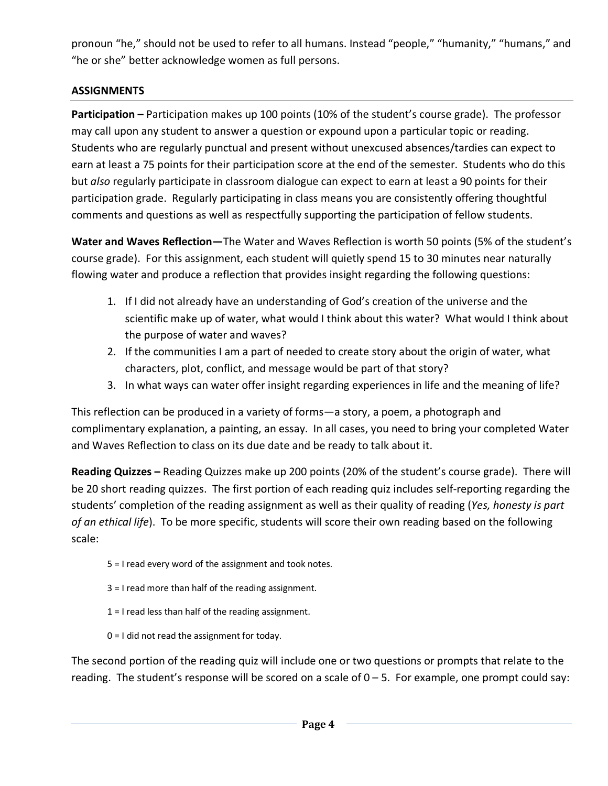pronoun "he," should not be used to refer to all humans. Instead "people," "humanity," "humans," and "he or she" better acknowledge women as full persons.

# **ASSIGNMENTS**

**Participation –** Participation makes up 100 points (10% of the student's course grade). The professor may call upon any student to answer a question or expound upon a particular topic or reading. Students who are regularly punctual and present without unexcused absences/tardies can expect to earn at least a 75 points for their participation score at the end of the semester. Students who do this but *also* regularly participate in classroom dialogue can expect to earn at least a 90 points for their participation grade. Regularly participating in class means you are consistently offering thoughtful comments and questions as well as respectfully supporting the participation of fellow students.

**Water and Waves Reflection—**The Water and Waves Reflection is worth 50 points (5% of the student's course grade). For this assignment, each student will quietly spend 15 to 30 minutes near naturally flowing water and produce a reflection that provides insight regarding the following questions:

- 1. If I did not already have an understanding of God's creation of the universe and the scientific make up of water, what would I think about this water? What would I think about the purpose of water and waves?
- 2. If the communities I am a part of needed to create story about the origin of water, what characters, plot, conflict, and message would be part of that story?
- 3. In what ways can water offer insight regarding experiences in life and the meaning of life?

This reflection can be produced in a variety of forms—a story, a poem, a photograph and complimentary explanation, a painting, an essay. In all cases, you need to bring your completed Water and Waves Reflection to class on its due date and be ready to talk about it.

**Reading Quizzes –** Reading Quizzes make up 200 points (20% of the student's course grade). There will be 20 short reading quizzes. The first portion of each reading quiz includes self-reporting regarding the students' completion of the reading assignment as well as their quality of reading (*Yes, honesty is part of an ethical life*). To be more specific, students will score their own reading based on the following scale:

- 5 = I read every word of the assignment and took notes.
- 3 = I read more than half of the reading assignment.
- 1 = I read less than half of the reading assignment.
- 0 = I did not read the assignment for today.

The second portion of the reading quiz will include one or two questions or prompts that relate to the reading. The student's response will be scored on a scale of  $0 - 5$ . For example, one prompt could say: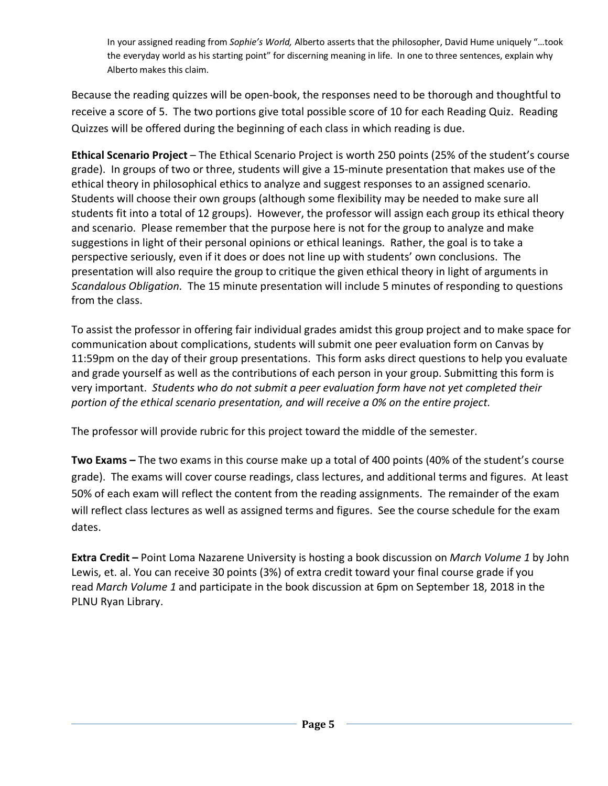In your assigned reading from *Sophie's World,* Alberto asserts that the philosopher, David Hume uniquely "…took the everyday world as his starting point" for discerning meaning in life. In one to three sentences, explain why Alberto makes this claim.

Because the reading quizzes will be open-book, the responses need to be thorough and thoughtful to receive a score of 5. The two portions give total possible score of 10 for each Reading Quiz. Reading Quizzes will be offered during the beginning of each class in which reading is due.

**Ethical Scenario Project** – The Ethical Scenario Project is worth 250 points (25% of the student's course grade). In groups of two or three, students will give a 15-minute presentation that makes use of the ethical theory in philosophical ethics to analyze and suggest responses to an assigned scenario. Students will choose their own groups (although some flexibility may be needed to make sure all students fit into a total of 12 groups). However, the professor will assign each group its ethical theory and scenario. Please remember that the purpose here is not for the group to analyze and make suggestions in light of their personal opinions or ethical leanings. Rather, the goal is to take a perspective seriously, even if it does or does not line up with students' own conclusions. The presentation will also require the group to critique the given ethical theory in light of arguments in *Scandalous Obligation.* The 15 minute presentation will include 5 minutes of responding to questions from the class.

To assist the professor in offering fair individual grades amidst this group project and to make space for communication about complications, students will submit one peer evaluation form on Canvas by 11:59pm on the day of their group presentations. This form asks direct questions to help you evaluate and grade yourself as well as the contributions of each person in your group. Submitting this form is very important. *Students who do not submit a peer evaluation form have not yet completed their portion of the ethical scenario presentation, and will receive a 0% on the entire project.*

The professor will provide rubric for this project toward the middle of the semester.

**Two Exams –** The two exams in this course make up a total of 400 points (40% of the student's course grade). The exams will cover course readings, class lectures, and additional terms and figures. At least 50% of each exam will reflect the content from the reading assignments. The remainder of the exam will reflect class lectures as well as assigned terms and figures. See the course schedule for the exam dates.

**Extra Credit –** Point Loma Nazarene University is hosting a book discussion on *March Volume 1* by John Lewis, et. al. You can receive 30 points (3%) of extra credit toward your final course grade if you read *March Volume 1* and participate in the book discussion at 6pm on September 18, 2018 in the PLNU Ryan Library.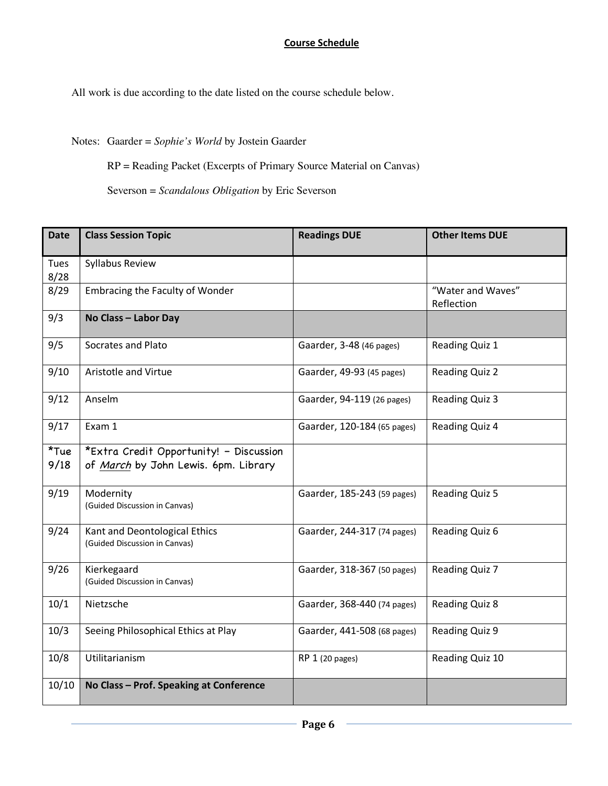#### **Course Schedule**

All work is due according to the date listed on the course schedule below.

Notes: Gaarder = *Sophie's World* by Jostein Gaarder

RP = Reading Packet (Excerpts of Primary Source Material on Canvas)

Severson = *Scandalous Obligation* by Eric Severson

| <b>Date</b>     | <b>Class Session Topic</b>                                                      | <b>Readings DUE</b>         | <b>Other Items DUE</b>          |
|-----------------|---------------------------------------------------------------------------------|-----------------------------|---------------------------------|
| Tues<br>8/28    | Syllabus Review                                                                 |                             |                                 |
| 8/29            | <b>Embracing the Faculty of Wonder</b>                                          |                             | "Water and Waves"<br>Reflection |
| 9/3             | No Class - Labor Day                                                            |                             |                                 |
| 9/5             | Socrates and Plato                                                              | Gaarder, 3-48 (46 pages)    | Reading Quiz 1                  |
| 9/10            | Aristotle and Virtue                                                            | Gaarder, 49-93 (45 pages)   | <b>Reading Quiz 2</b>           |
| 9/12            | Anselm                                                                          | Gaarder, 94-119 (26 pages)  | Reading Quiz 3                  |
| 9/17            | Exam 1                                                                          | Gaarder, 120-184 (65 pages) | Reading Quiz 4                  |
| $*$ Tue<br>9/18 | *Extra Credit Opportunity! - Discussion<br>of March by John Lewis. 6pm. Library |                             |                                 |
| 9/19            | Modernity<br>(Guided Discussion in Canvas)                                      | Gaarder, 185-243 (59 pages) | Reading Quiz 5                  |
| 9/24            | Kant and Deontological Ethics<br>(Guided Discussion in Canvas)                  | Gaarder, 244-317 (74 pages) | Reading Quiz 6                  |
| 9/26            | Kierkegaard<br>(Guided Discussion in Canvas)                                    | Gaarder, 318-367 (50 pages) | Reading Quiz 7                  |
| 10/1            | Nietzsche                                                                       | Gaarder, 368-440 (74 pages) | <b>Reading Quiz 8</b>           |
| 10/3            | Seeing Philosophical Ethics at Play                                             | Gaarder, 441-508 (68 pages) | <b>Reading Quiz 9</b>           |
| 10/8            | Utilitarianism                                                                  | RP 1 (20 pages)             | Reading Quiz 10                 |
| 10/10           | No Class - Prof. Speaking at Conference                                         |                             |                                 |